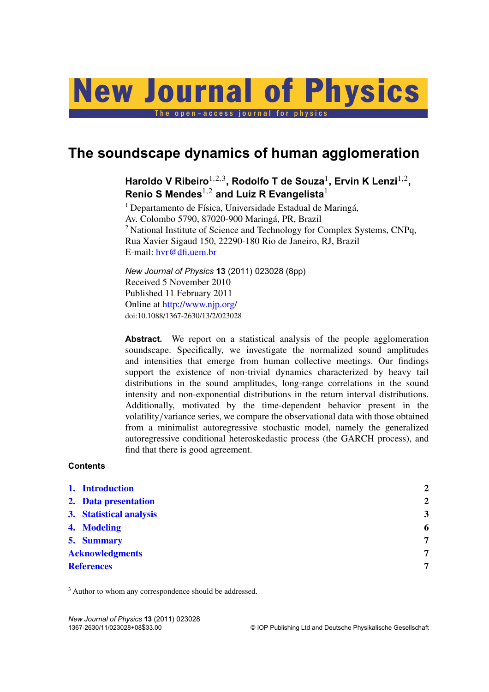# o p e n – a c c e s s j o u r n a l New Journal of Physics

**The soundscape dynamics of human agglomeration**

# Haroldo V Ribeiro<sup>1,2,3</sup>, Rodolfo T de Souza<sup>1</sup>, Ervin K Lenzi<sup>1,2</sup>, **Renio S Mendes**1,<sup>2</sup> **and Luiz R Evangelista**<sup>1</sup>

 $1$  Departamento de Física, Universidade Estadual de Maringá, Av. Colombo 5790, 87020-900 Maringá, PR, Brazil <sup>2</sup> National Institute of Science and Technology for Complex Systems, CNPq, Rua Xavier Sigaud 150, 22290-180 Rio de Janeiro, RJ, Brazil E-mail: hvr@dfi.uem.br

*New Journal of Physics* **13** (2011) 023028 (8pp) Received 5 November 2010 Published 11 February 2011 Online at http://www.njp.org/ doi:10.1088/1367-2630/13/2/023028

Abstract. We report on a statistical analysis of the people agglomeration soundscape. Specifically, we investigate the normalized sound amplitudes and intensities that emerge from human collective meetings. Our findings support the existence of non-trivial dynamics characterized by heavy tail distributions in the sound amplitudes, long-range correlations in the sound intensity and non-exponential distributions in the return interval distributions. Additionally, motivated by the time-dependent behavior present in the volatility/variance series, we compare the observational data with those obtained from a minimalist autoregressive stochastic model, namely the generalized autoregressive conditional heteroskedastic process (the GARCH process), and find that there is good agreement.

# **Contents**

| 1. Introduction         | $\mathbf{Z}$   |
|-------------------------|----------------|
| 2. Data presentation    | $\overline{2}$ |
| 3. Statistical analysis | 3              |
| 4. Modeling             | 6              |
| 5. Summary              | 7              |
| <b>Acknowledgments</b>  | 7              |
| <b>References</b>       | 7              |
|                         |                |

<sup>3</sup> Author to whom any correspondence should be addressed.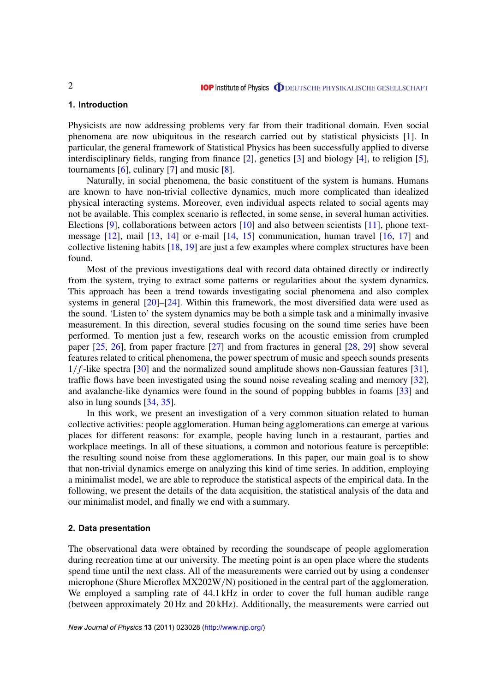# **1. Introduction**

Physicists are now addressing problems very far from their traditional domain. Even social phenomena are now ubiquitous in the research carried out by statistical physicists [1]. In particular, the general framework of Statistical Physics has been successfully applied to diverse interdisciplinary fields, ranging from finance [2], genetics [3] and biology [4], to religion [5], tournaments  $[6]$ , culinary  $[7]$  and music  $[8]$ .

Naturally, in social phenomena, the basic constituent of the system is humans. Humans are known to have non-trivial collective dynamics, much more complicated than idealized physical interacting systems. Moreover, even individual aspects related to social agents may not be available. This complex scenario is reflected, in some sense, in several human activities. Elections [9], collaborations between actors [10] and also between scientists [11], phone textmessage  $[12]$ , mail  $[13, 14]$  or e-mail  $[14, 15]$  communication, human travel  $[16, 17]$  and collective listening habits [18, 19] are just a few examples where complex structures have been found.

Most of the previous investigations deal with record data obtained directly or indirectly from the system, trying to extract some patterns or regularities about the system dynamics. This approach has been a trend towards investigating social phenomena and also complex systems in general [20]–[24]. Within this framework, the most diversified data were used as the sound. 'Listen to' the system dynamics may be both a simple task and a minimally invasive measurement. In this direction, several studies focusing on the sound time series have been performed. To mention just a few, research works on the acoustic emission from crumpled paper [25, 26], from paper fracture [27] and from fractures in general [28, 29] show several features related to critical phenomena, the power spectrum of music and speech sounds presents  $1/f$ -like spectra [30] and the normalized sound amplitude shows non-Gaussian features [31], traffic flows have been investigated using the sound noise revealing scaling and memory [32], and avalanche-like dynamics were found in the sound of popping bubbles in foams [33] and also in lung sounds [34, 35].

In this work, we present an investigation of a very common situation related to human collective activities: people agglomeration. Human being agglomerations can emerge at various places for different reasons: for example, people having lunch in a restaurant, parties and workplace meetings. In all of these situations, a common and notorious feature is perceptible: the resulting sound noise from these agglomerations. In this paper, our main goal is to show that non-trivial dynamics emerge on analyzing this kind of time series. In addition, employing a minimalist model, we are able to reproduce the statistical aspects of the empirical data. In the following, we present the details of the data acquisition, the statistical analysis of the data and our minimalist model, and finally we end with a summary.

#### **2. Data presentation**

The observational data were obtained by recording the soundscape of people agglomeration during recreation time at our university. The meeting point is an open place where the students spend time until the next class. All of the measurements were carried out by using a condenser microphone (Shure Microflex MX202W/N) positioned in the central part of the agglomeration. We employed a sampling rate of 44.1 kHz in order to cover the full human audible range (between approximately 20 Hz and 20 kHz). Additionally, the measurements were carried out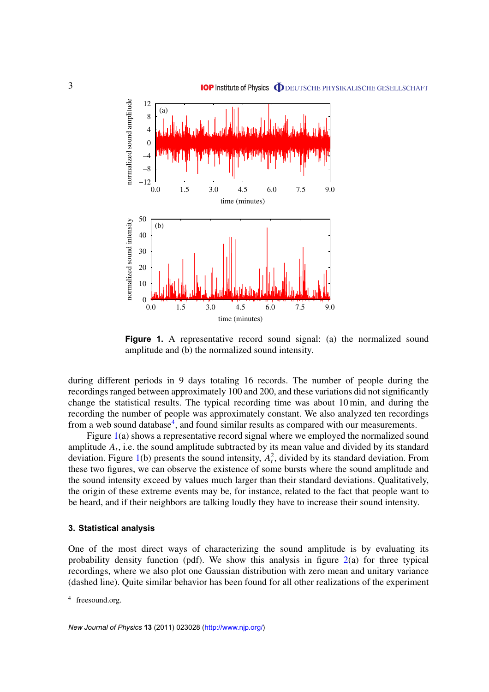

**Figure 1.** A representative record sound signal: (a) the normalized sound amplitude and (b) the normalized sound intensity.

during different periods in 9 days totaling 16 records. The number of people during the recordings ranged between approximately 100 and 200, and these variations did not significantly change the statistical results. The typical recording time was about 10 min, and during the recording the number of people was approximately constant. We also analyzed ten recordings from a web sound database<sup>4</sup>, and found similar results as compared with our measurements.

Figure 1(a) shows a representative record signal where we employed the normalized sound amplitude  $A_t$ , i.e. the sound amplitude subtracted by its mean value and divided by its standard deviation. Figure 1(b) presents the sound intensity,  $A_t^2$ , divided by its standard deviation. From these two figures, we can observe the existence of some bursts where the sound amplitude and the sound intensity exceed by values much larger than their standard deviations. Qualitatively, the origin of these extreme events may be, for instance, related to the fact that people want to be heard, and if their neighbors are talking loudly they have to increase their sound intensity.

#### **3. Statistical analysis**

One of the most direct ways of characterizing the sound amplitude is by evaluating its probability density function (pdf). We show this analysis in figure  $2(a)$  for three typical recordings, where we also plot one Gaussian distribution with zero mean and unitary variance (dashed line). Quite similar behavior has been found for all other realizations of the experiment

<sup>4</sup> freesound.org.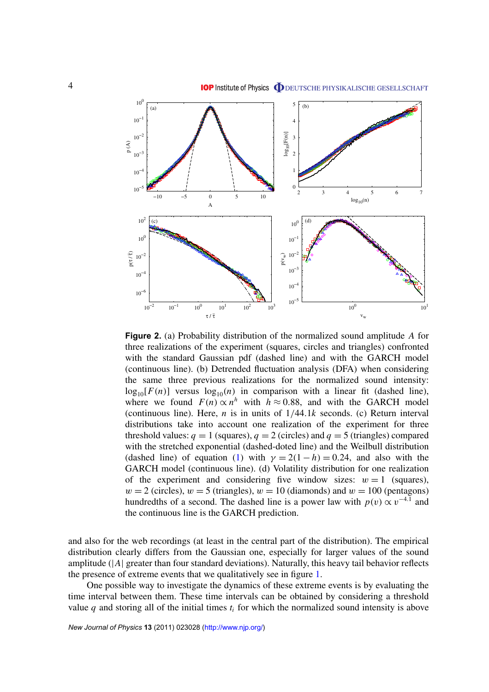

**Figure 2.** (a) Probability distribution of the normalized sound amplitude *A* for three realizations of the experiment (squares, circles and triangles) confronted with the standard Gaussian pdf (dashed line) and with the GARCH model (continuous line). (b) Detrended fluctuation analysis (DFA) when considering the same three previous realizations for the normalized sound intensity:  $log_{10}[F(n)]$  versus  $log_{10}(n)$  in comparison with a linear fit (dashed line), where we found  $F(n) \propto n^h$  with  $h \approx 0.88$ , and with the GARCH model (continuous line). Here, *n* is in units of 1/44.1*k* seconds. (c) Return interval distributions take into account one realization of the experiment for three threshold values:  $q = 1$  (squares),  $q = 2$  (circles) and  $q = 5$  (triangles) compared with the stretched exponential (dashed-doted line) and the Weilbull distribution (dashed line) of equation (1) with  $\gamma = 2(1 - h) = 0.24$ , and also with the GARCH model (continuous line). (d) Volatility distribution for one realization of the experiment and considering five window sizes:  $w = 1$  (squares),  $w = 2$  (circles),  $w = 5$  (triangles),  $w = 10$  (diamonds) and  $w = 100$  (pentagons) hundredths of a second. The dashed line is a power law with  $p(v) \propto v^{-4.1}$  and the continuous line is the GARCH prediction.

and also for the web recordings (at least in the central part of the distribution). The empirical distribution clearly differs from the Gaussian one, especially for larger values of the sound amplitude (|*A*| greater than four standard deviations). Naturally, this heavy tail behavior reflects the presence of extreme events that we qualitatively see in figure 1.

One possible way to investigate the dynamics of these extreme events is by evaluating the time interval between them. These time intervals can be obtained by considering a threshold value  $q$  and storing all of the initial times  $t_i$  for which the normalized sound intensity is above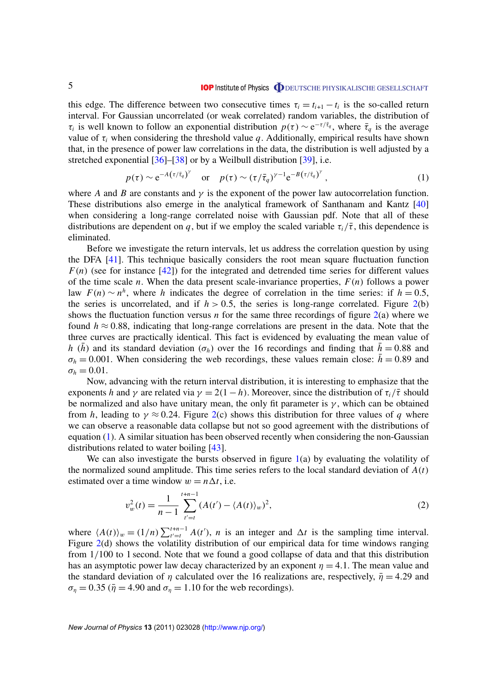this edge. The difference between two consecutive times  $\tau_i = t_{i+1} - t_i$  is the so-called return interval. For Gaussian uncorrelated (or weak correlated) random variables, the distribution of  $\tau_i$  is well known to follow an exponential distribution  $p(\tau) \sim e^{-\tau/\bar{\tau}_q}$ , where  $\bar{\tau}_q$  is the average value of  $\tau_i$  when considering the threshold value *q*. Additionally, empirical results have shown that, in the presence of power law correlations in the data, the distribution is well adjusted by a stretched exponential [36]–[38] or by a Weilbull distribution [39], i.e.

$$
p(\tau) \sim e^{-A(\tau/\bar{\tau}_q)^\gamma}
$$
 or  $p(\tau) \sim (\tau/\bar{\tau}_q)^{\gamma-1} e^{-B(\tau/\bar{\tau}_q)^\gamma}$ , (1)

where *A* and *B* are constants and  $\gamma$  is the exponent of the power law autocorrelation function. These distributions also emerge in the analytical framework of Santhanam and Kantz [40] when considering a long-range correlated noise with Gaussian pdf. Note that all of these distributions are dependent on *q*, but if we employ the scaled variable  $\tau_i/\bar{\tau}$ , this dependence is eliminated.

Before we investigate the return intervals, let us address the correlation question by using the DFA [41]. This technique basically considers the root mean square fluctuation function  $F(n)$  (see for instance [42]) for the integrated and detrended time series for different values of the time scale *n*. When the data present scale-invariance properties, *F*(*n*) follows a power law  $F(n) \sim n^h$ , where *h* indicates the degree of correlation in the time series: if  $h = 0.5$ , the series is uncorrelated, and if  $h > 0.5$ , the series is long-range correlated. Figure 2(b) shows the fluctuation function versus *n* for the same three recordings of figure  $2(a)$  where we found  $h \approx 0.88$ , indicating that long-range correlations are present in the data. Note that the three curves are practically identical. This fact is evidenced by evaluating the mean value of *h* ( $\bar{h}$ ) and its standard deviation ( $\sigma_h$ ) over the 16 recordings and finding that  $\bar{h} = 0.88$  and  $\sigma_h = 0.001$ . When considering the web recordings, these values remain close:  $\bar{h} = 0.89$  and  $\sigma_h = 0.01$ .

Now, advancing with the return interval distribution, it is interesting to emphasize that the exponents *h* and *y* are related via  $\gamma = 2(1 - h)$ . Moreover, since the distribution of  $\tau_i/\bar{\tau}$  should be normalized and also have unitary mean, the only fit parameter is  $\gamma$ , which can be obtained from *h*, leading to  $\gamma \approx 0.24$ . Figure 2(c) shows this distribution for three values of *q* where we can observe a reasonable data collapse but not so good agreement with the distributions of equation (1). A similar situation has been observed recently when considering the non-Gaussian distributions related to water boiling [43].

We can also investigate the bursts observed in figure  $1(a)$  by evaluating the volatility of the normalized sound amplitude. This time series refers to the local standard deviation of *A*(*t*) estimated over a time window  $w = n \Delta t$ , i.e.

$$
v_w^2(t) = \frac{1}{n-1} \sum_{t'=t}^{t+n-1} (A(t') - \langle A(t) \rangle_w)^2,
$$
 (2)

where  $\langle A(t) \rangle_w = (1/n) \sum_{t'=t}^{t+n-1} A(t'), n$  is an integer and  $\Delta t$  is the sampling time interval. Figure 2(d) shows the volatility distribution of our empirical data for time windows ranging from 1/100 to 1 second. Note that we found a good collapse of data and that this distribution has an asymptotic power law decay characterized by an exponent  $\eta = 4.1$ . The mean value and the standard deviation of  $\eta$  calculated over the 16 realizations are, respectively,  $\bar{\eta} = 4.29$  and  $\sigma_{\eta} = 0.35$  ( $\bar{\eta} = 4.90$  and  $\sigma_{\eta} = 1.10$  for the web recordings).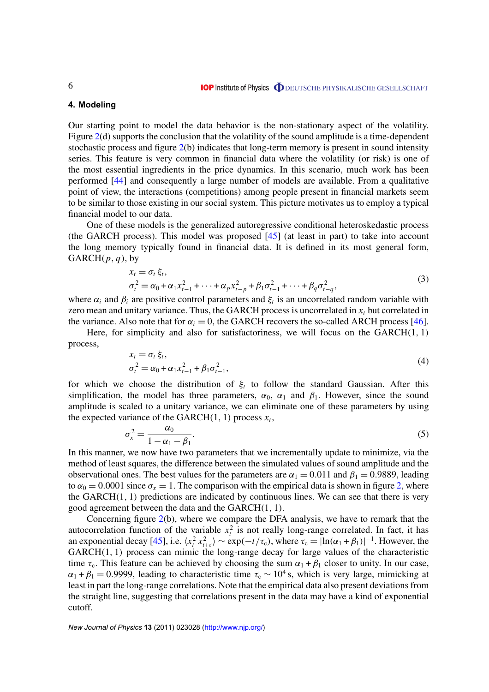# **4. Modeling**

Our starting point to model the data behavior is the non-stationary aspect of the volatility. Figure 2(d) supports the conclusion that the volatility of the sound amplitude is a time-dependent stochastic process and figure 2(b) indicates that long-term memory is present in sound intensity series. This feature is very common in financial data where the volatility (or risk) is one of the most essential ingredients in the price dynamics. In this scenario, much work has been performed [44] and consequently a large number of models are available. From a qualitative point of view, the interactions (competitions) among people present in financial markets seem to be similar to those existing in our social system. This picture motivates us to employ a typical financial model to our data.

One of these models is the generalized autoregressive conditional heteroskedastic process (the GARCH process). This model was proposed  $[45]$  (at least in part) to take into account the long memory typically found in financial data. It is defined in its most general form,  $GARCH(p, q)$ , by

$$
x_t = \sigma_t \xi_t,
$$
  
\n
$$
\sigma_t^2 = \alpha_0 + \alpha_1 x_{t-1}^2 + \dots + \alpha_p x_{t-p}^2 + \beta_1 \sigma_{t-1}^2 + \dots + \beta_q \sigma_{t-q}^2,
$$
\n(3)

where  $\alpha_i$  and  $\beta_i$  are positive control parameters and  $\xi_i$  is an uncorrelated random variable with zero mean and unitary variance. Thus, the GARCH process is uncorrelated in  $x_t$ , but correlated in the variance. Also note that for  $\alpha_i = 0$ , the GARCH recovers the so-called ARCH process [46].

Here, for simplicity and also for satisfactoriness, we will focus on the  $GARCH(1, 1)$ process,

$$
x_{t} = \sigma_{t} \xi_{t},
$$
  
\n
$$
\sigma_{t}^{2} = \alpha_{0} + \alpha_{1} x_{t-1}^{2} + \beta_{1} \sigma_{t-1}^{2},
$$
\n(4)

for which we choose the distribution of ξ*<sup>t</sup>* to follow the standard Gaussian. After this simplification, the model has three parameters,  $\alpha_0$ ,  $\alpha_1$  and  $\beta_1$ . However, since the sound amplitude is scaled to a unitary variance, we can eliminate one of these parameters by using the expected variance of the GARCH $(1, 1)$  process  $x_t$ ,

$$
\sigma_x^2 = \frac{\alpha_0}{1 - \alpha_1 - \beta_1}.\tag{5}
$$

In this manner, we now have two parameters that we incrementally update to minimize, via the method of least squares, the difference between the simulated values of sound amplitude and the observational ones. The best values for the parameters are  $\alpha_1 = 0.011$  and  $\beta_1 = 0.9889$ , leading to  $\alpha_0 = 0.0001$  since  $\sigma_x = 1$ . The comparison with the empirical data is shown in figure 2, where the  $GARCH(1, 1)$  predictions are indicated by continuous lines. We can see that there is very good agreement between the data and the GARCH(1, 1).

Concerning figure 2(b), where we compare the DFA analysis, we have to remark that the autocorrelation function of the variable  $x_t^2$  is not really long-range correlated. In fact, it has an exponential decay [45], i.e.  $\langle x_t^2 x_{t+\tau}^2 \rangle \sim \exp(-t/\tau_c)$ , where  $\tau_c = |\ln(\alpha_1 + \beta_1)|^{-1}$ . However, the GARCH(1, 1) process can mimic the long-range decay for large values of the characteristic time  $\tau_c$ . This feature can be achieved by choosing the sum  $\alpha_1 + \beta_1$  closer to unity. In our case,  $\alpha_1 + \beta_1 = 0.9999$ , leading to characteristic time  $\tau_c \sim 10^4$  s, which is very large, mimicking at least in part the long-range correlations. Note that the empirical data also present deviations from the straight line, suggesting that correlations present in the data may have a kind of exponential cutoff.

*New Journal of Physics* **13** (2011) 023028 (http://www.njp.org/)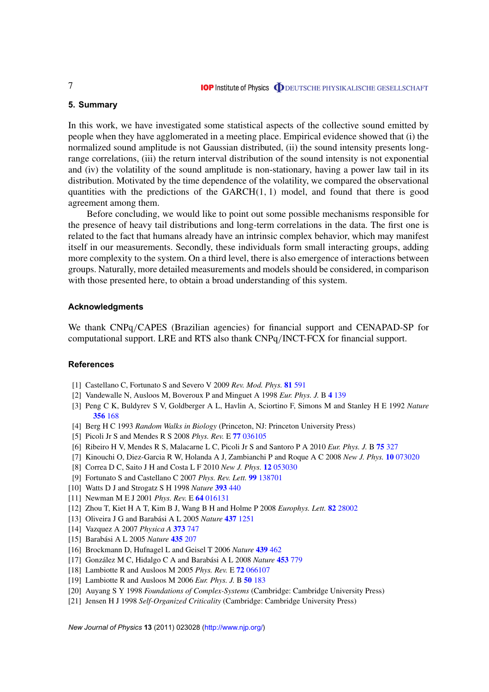# **5. Summary**

In this work, we have investigated some statistical aspects of the collective sound emitted by people when they have agglomerated in a meeting place. Empirical evidence showed that (i) the normalized sound amplitude is not Gaussian distributed, (ii) the sound intensity presents longrange correlations, (iii) the return interval distribution of the sound intensity is not exponential and (iv) the volatility of the sound amplitude is non-stationary, having a power law tail in its distribution. Motivated by the time dependence of the volatility, we compared the observational quantities with the predictions of the  $GARCH(1, 1)$  model, and found that there is good agreement among them.

Before concluding, we would like to point out some possible mechanisms responsible for the presence of heavy tail distributions and long-term correlations in the data. The first one is related to the fact that humans already have an intrinsic complex behavior, which may manifest itself in our measurements. Secondly, these individuals form small interacting groups, adding more complexity to the system. On a third level, there is also emergence of interactions between groups. Naturally, more detailed measurements and models should be considered, in comparison with those presented here, to obtain a broad understanding of this system.

#### **Acknowledgments**

We thank CNPq/CAPES (Brazilian agencies) for financial support and CENAPAD-SP for computational support. LRE and RTS also thank CNPq/INCT-FCX for financial support.

#### **References**

- [1] Castellano C, Fortunato S and Severo V 2009 *Rev. Mod. Phys.* **81** 591
- [2] Vandewalle N, Ausloos M, Boveroux P and Minguet A 1998 *Eur. Phys. J.* B **4** 139
- [3] Peng C K, Buldyrev S V, Goldberger A L, Havlin A, Sciortino F, Simons M and Stanley H E 1992 *Nature* **356** 168
- [4] Berg H C 1993 *Random Walks in Biology* (Princeton, NJ: Princeton University Press)
- [5] Picoli Jr S and Mendes R S 2008 *Phys. Rev.* E **77** 036105
- [6] Ribeiro H V, Mendes R S, Malacarne L C, Picoli Jr S and Santoro P A 2010 *Eur. Phys. J.* B **75** 327
- [7] Kinouchi O, Diez-Garcia R W, Holanda A J, Zambianchi P and Roque A C 2008 *New J. Phys.* **10** 073020
- [8] Correa D C, Saito J H and Costa L F 2010 *New J. Phys.* **12** 053030
- [9] Fortunato S and Castellano C 2007 *Phys. Rev. Lett.* **99** 138701
- [10] Watts D J and Strogatz S H 1998 *Nature* **393** 440
- [11] Newman M E J 2001 *Phys. Rev.* E **64** 016131
- [12] Zhou T, Kiet H A T, Kim B J, Wang B H and Holme P 2008 *Europhys. Lett.* **82** 28002
- [13] Oliveira J G and Barabási A L 2005 *Nature* **437** 1251
- [14] Vazquez A 2007 *Physica A* **373** 747
- [15] Barabási A L 2005 *Nature* **435** 207
- [16] Brockmann D, Hufnagel L and Geisel T 2006 *Nature* **439** 462
- [17] González M C, Hidalgo C A and Barabási A L 2008 *Nature* **453** 779
- [18] Lambiotte R and Ausloos M 2005 *Phys. Rev.* E **72** 066107
- [19] Lambiotte R and Ausloos M 2006 *Eur. Phys. J.* B **50** 183
- [20] Auyang S Y 1998 *Foundations of Complex-Systems* (Cambridge: Cambridge University Press)
- [21] Jensen H J 1998 *Self-Organized Criticality* (Cambridge: Cambridge University Press)

*New Journal of Physics* **13** (2011) 023028 (http://www.njp.org/)

7